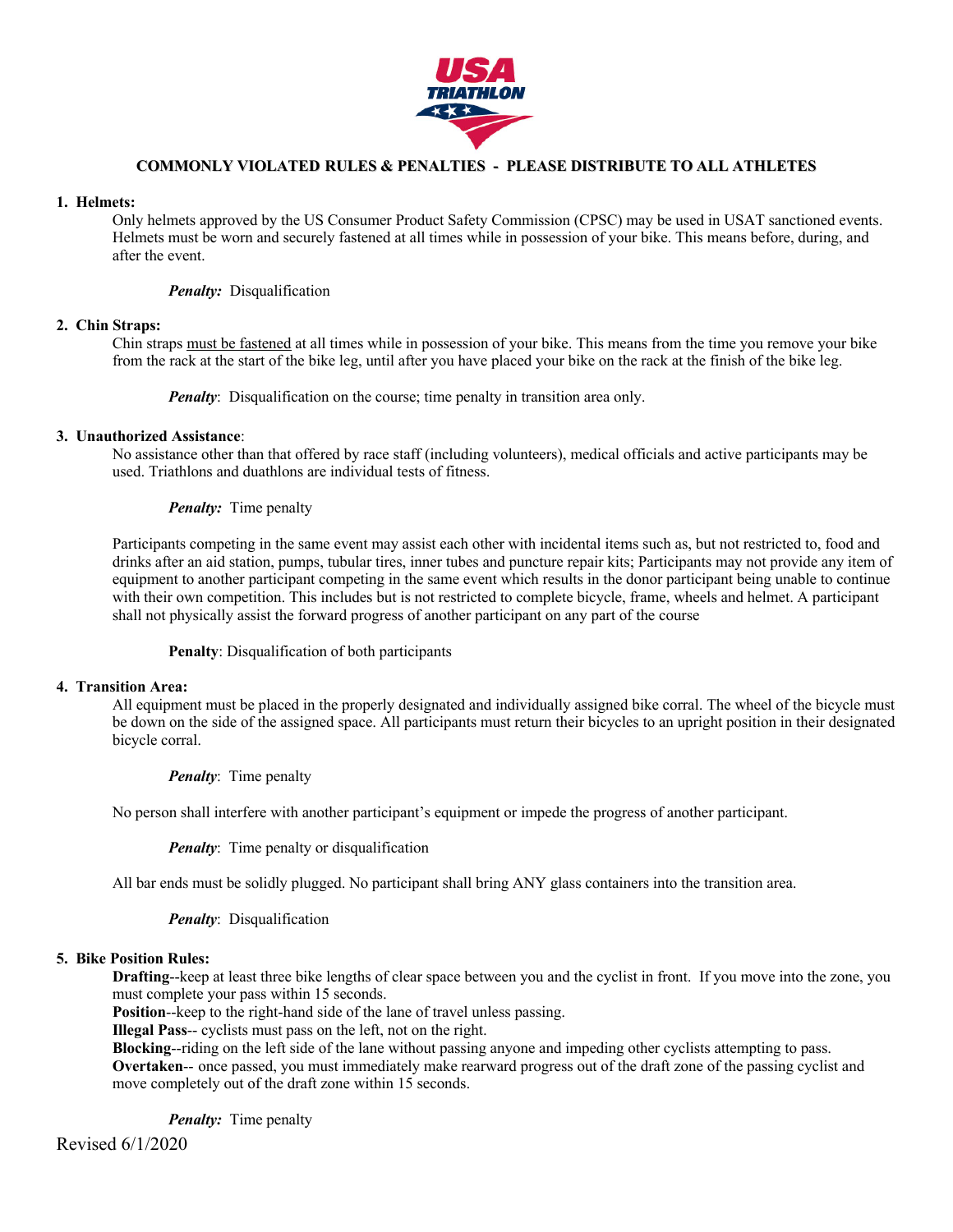

# **COMMONLY VIOLATED RULES & PENALTIES - PLEASE DISTRIBUTE TO ALL ATHLETES**

#### **1. Helmets:**

Only helmets approved by the US Consumer Product Safety Commission (CPSC) may be used in USAT sanctioned events. Helmets must be worn and securely fastened at all times while in possession of your bike. This means before, during, and after the event.

### *Penalty:* Disqualification

#### **2. Chin Straps:**

Chin straps must be fastened at all times while in possession of your bike. This means from the time you remove your bike from the rack at the start of the bike leg, until after you have placed your bike on the rack at the finish of the bike leg.

*Penalty*: Disqualification on the course; time penalty in transition area only.

### **3. Unauthorized Assistance**:

No assistance other than that offered by race staff (including volunteers), medical officials and active participants may be used. Triathlons and duathlons are individual tests of fitness.

*Penalty:* Time penalty

Participants competing in the same event may assist each other with incidental items such as, but not restricted to, food and drinks after an aid station, pumps, tubular tires, inner tubes and puncture repair kits; Participants may not provide any item of equipment to another participant competing in the same event which results in the donor participant being unable to continue with their own competition. This includes but is not restricted to complete bicycle, frame, wheels and helmet. A participant shall not physically assist the forward progress of another participant on any part of the course

## **Penalty**: Disqualification of both participants

#### **4. Transition Area:**

All equipment must be placed in the properly designated and individually assigned bike corral. The wheel of the bicycle must be down on the side of the assigned space. All participants must return their bicycles to an upright position in their designated bicycle corral.

### *Penalty*: Time penalty

No person shall interfere with another participant's equipment or impede the progress of another participant.

*Penalty*: Time penalty or disqualification

All bar ends must be solidly plugged. No participant shall bring ANY glass containers into the transition area.

*Penalty*: Disqualification

### **5. Bike Position Rules:**

**Drafting**--keep at least three bike lengths of clear space between you and the cyclist in front. If you move into the zone, you must complete your pass within 15 seconds.

**Position**--keep to the right-hand side of the lane of travel unless passing.

**Illegal Pass**-- cyclists must pass on the left, not on the right.

**Blocking**--riding on the left side of the lane without passing anyone and impeding other cyclists attempting to pass. **Overtaken**-- once passed, you must immediately make rearward progress out of the draft zone of the passing cyclist and move completely out of the draft zone within 15 seconds.

*Penalty:* Time penalty

Revised 6/1/2020